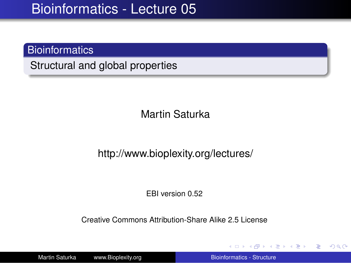### **Bioinformatics**

Structural and global properties

Martin Saturka

#### http://www.bioplexity.org/lectures/

EBI version 0.52

Creative Commons Attribution-Share Alike 2.5 License

Martin Saturka www.Bioplexity.org **Bionic Biometers** [Bioinformatics - Structure](#page-31-0)

イロト イ押 トイヨ トイヨ トー

<span id="page-0-0"></span>÷.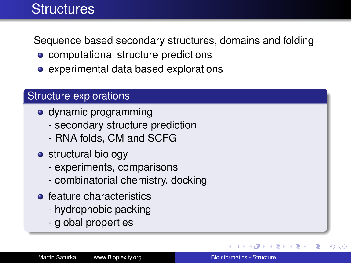## **Structures**

Sequence based secondary structures, domains and folding

- computational structure predictions
- experimental data based explorations

### Structure explorations

- dynamic programming
	- secondary structure prediction
	- RNA folds, CM and SCFG
- structural biology
	- experiments, comparisons
	- combinatorial chemistry, docking
- **•** feature characteristics
	- hydrophobic packing
	- global properties

 $\triangleright$  -4  $\equiv$   $\triangleright$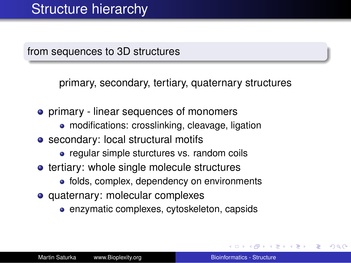from sequences to 3D structures

primary, secondary, tertiary, quaternary structures

- **•** primary linear sequences of monomers
	- modifications: crosslinking, cleavage, ligation
- secondary: local structural motifs
	- regular simple sturctures vs. random coils
- **•** tertiary: whole single molecule structures
	- folds, complex, dependency on environments
- quaternary: molecular complexes
	- enzymatic complexes, cytoskeleton, capsids

4 重っ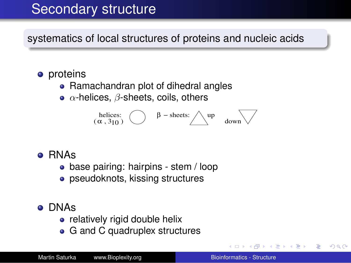## Secondary structure

systematics of local structures of proteins and nucleic acids

- **o** proteins
	- Ramachandran plot of dihedral angles
	- $\alpha$ -helices,  $\beta$ -sheets, coils, others

β − sheets: up down helices: (α , 3 ) 10

- RNAs
	- base pairing: hairpins stem / loop
	- pseudoknots, kissing structures
- DNAs
	- relatively rigid double helix
	- G and C quadruplex structures

ミメス ミメー

ă,  $QQ$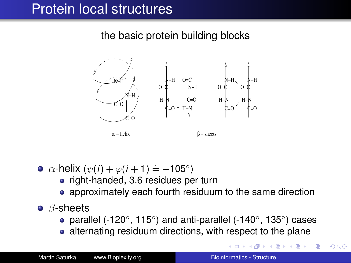## Protein local structures

the basic protein building blocks



- $\alpha$ -helix ( $\psi(i) + \varphi(i+1) \doteq -105°$ )
	- right-handed, 3.6 residues per turn
	- approximately each fourth residuum to the same direction
- $\bullet$   $\beta$ -sheets
	- parallel (-120°, 115°) and anti-parallel (-140°, 135°) cases
	- alternating residuum directions, with respect to the plane

イロン イ部ン イミン イモンジ

 $\equiv$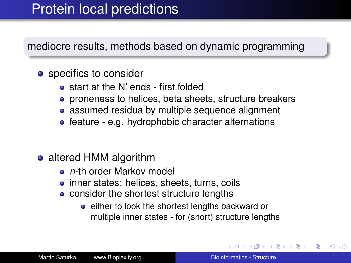### Protein local predictions

mediocre results, methods based on dynamic programming

#### • specifics to consider

- start at the N' ends first folded
- proneness to helices, beta sheets, structure breakers
- assumed residua by multiple sequence alignment
- feature e.g. hydrophobic character alternations

### • altered HMM algorithm

- **•** *n*-th order Markov model
- inner states: helices, sheets, turns, coils
- consider the shortest structure lengths
	- **e** either to look the shortest lengths backward or multiple inner states - for (short) structure lengths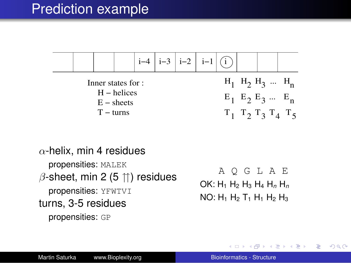|                                     |  |  |  | $i-4$   $i-3$   $i-2$   $i-1$   $(i)$ |                         |                                                          |  |
|-------------------------------------|--|--|--|---------------------------------------|-------------------------|----------------------------------------------------------|--|
| Inner states for :<br>$H - helices$ |  |  |  |                                       | $H_1$ $H_2$ $H_3$ $H_n$ |                                                          |  |
| $E$ – sheets<br>$T - turns$         |  |  |  |                                       |                         | $E_1$ $E_2$ $E_3$ $E_n$<br>$T_1$ $T_2$ $T_3$ $T_4$ $T_5$ |  |

 $\alpha$ -helix, min 4 residues propensities: MALEK  $\beta$ -sheet, min 2 (5  $\uparrow\uparrow$ ) residues propensities: YFWTVI turns, 3-5 residues propensities: GP

A Q G L A E OK: H<sup>1</sup> H<sup>2</sup> H<sup>3</sup> H<sup>4</sup> H*<sup>n</sup>* H*<sup>n</sup>*  $NO: H_1 H_2 T_1 H_1 H_2 H_3$ 

イロト イ団ト イヨト イヨト

÷.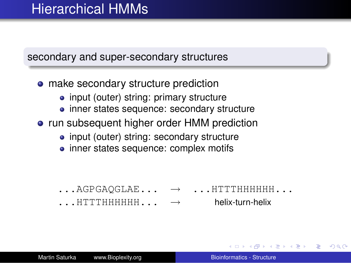### secondary and super-secondary structures

- make secondary structure prediction
	- input (outer) string: primary structure
	- inner states sequence: secondary structure
- run subsequent higher order HMM prediction
	- input (outer) string: secondary structure
	- inner states sequence: complex motifs

- $\ldots$  AGPGAOGLAE...  $\rightarrow$  ... HTTTHHHHHH...
- $\overline{H}$ ...HTTTHHHHHHH $\overline{H}$ ...  $\rightarrow$  helix-turn-helix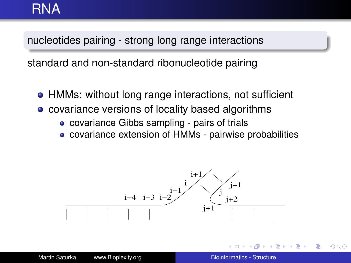### RNA

### nucleotides pairing - strong long range interactions

standard and non-standard ribonucleotide pairing

- HMMs: without long range interactions, not sufficient
- covariance versions of locality based algorithms
	- covariance Gibbs sampling pairs of trials
	- covariance extension of HMMs pairwise probabilities



ă.  $QQ$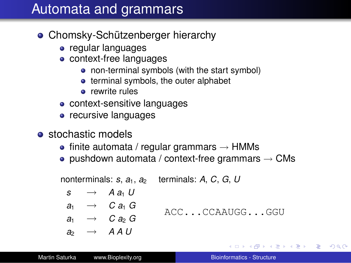## Automata and grammars

- Chomsky-Schützenberger hierarchy
	- regular languages
	- context-free languages
		- non-terminal symbols (with the start symbol)
		- $\bullet$  terminal symbols, the outer alphabet
		- **e** rewrite rules
	- context-sensitive languages
	- recursive languages
- **o** stochastic models
	- $\bullet$  finite automata / regular grammars  $\rightarrow$  HMMs
	- pushdown automata / context-free grammars  $\rightarrow$  CMs

nonterminals:  $s$ ,  $a_1$ ,  $a_2$  terminals:  $A$ ,  $C$ ,  $G$ ,  $U$  $s \rightarrow A a_1 U$  $a_1 \rightarrow C a_1 G$  $a_1 \rightarrow C a_2 G$  $a_2 \rightarrow A A U$ ACC...CCAAUGG...GGU

イロト イ伊 トイヨ トイヨ トー

ほい  $2Q$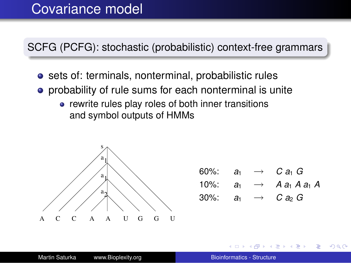### Covariance model

SCFG (PCFG): stochastic (probabilistic) context-free grammars

- **o** sets of: terminals, nonterminal, probabilistic rules
- **•** probability of rule sums for each nonterminal is unite
	- rewrite rules play roles of both inner transitions and symbol outputs of HMMs



| $60\%$ : | a <sub>1</sub> | $\rightarrow$ | $C$ a <sub>1</sub> $G$          |
|----------|----------------|---------------|---------------------------------|
| $10\%$ : | a <sub>1</sub> |               | $\rightarrow$ A $a_1$ A $a_1$ A |
| $30\%$ : | a <sub>1</sub> | $\rightarrow$ | $C$ as $G$                      |

ヨ トー B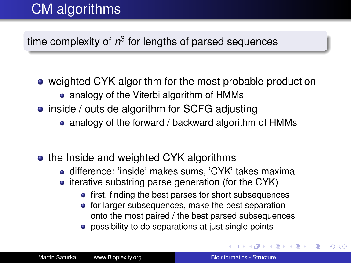# CM algorithms

### time complexity of  $n^3$  for lengths of parsed sequences

- weighted CYK algorithm for the most probable production
	- analogy of the Viterbi algorithm of HMMs
- inside / outside algorithm for SCFG adjusting
	- analogy of the forward / backward algorithm of HMMs
- the Inside and weighted CYK algorithms
	- **•** difference: 'inside' makes sums, 'CYK' takes maxima
	- $\bullet$  iterative substring parse generation (for the CYK)
		- **•** first, finding the best parses for short subsequences
		- for larger subsequences, make the best separation onto the most paired / the best parsed subsequences
		- possibility to do separations at just single points

4 **O + 4 fl** + 4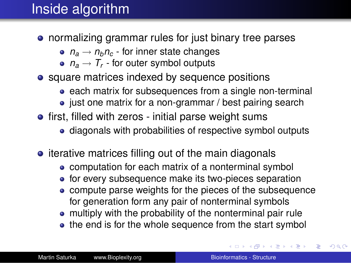## Inside algorithm

- normalizing grammar rules for just binary tree parses
	- $n_a \rightarrow n_b n_c$  for inner state changes
	- $n_a \rightarrow T_r$  for outer symbol outputs
- square matrices indexed by sequence positions
	- each matrix for subsequences from a single non-terminal
	- just one matrix for a non-grammar / best pairing search
- **•** first, filled with zeros initial parse weight sums
	- diagonals with probabilities of respective symbol outputs
- $\bullet$  iterative matrices filling out of the main diagonals
	- computation for each matrix of a nonterminal symbol
	- for every subsequence make its two-pieces separation
	- compute parse weights for the pieces of the subsequence for generation form any pair of nonterminal symbols
	- multiply with the probability of the nonterminal pair rule
	- the end is for the whole sequence from the start symbol

イロト イ団ト イヨト イヨト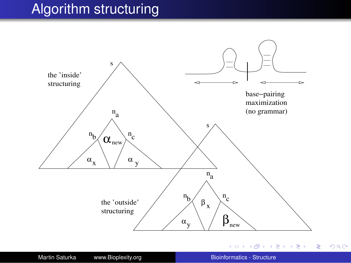## Algorithm structuring

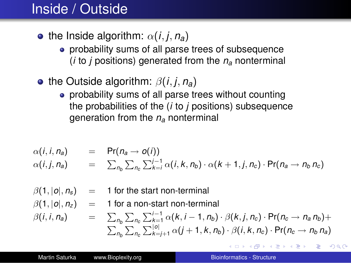## Inside / Outside

- the Inside algorithm:  $\alpha(i, j, n_a)$ 
	- probability sums of all parse trees of subsequence (*i* to *j* positions) generated from the *n<sup>a</sup>* nonterminal
- the Outside algorithm: β(*i*, *j*, *na*)
	- probability sums of all parse trees without counting the probabilities of the (*i* to *j* positions) subsequence generation from the *n<sup>a</sup>* nonterminal

$$
\alpha(i, i, n_a) = \Pr(n_a \rightarrow o(i))
$$
  
\n
$$
\alpha(i, j, n_a) = \sum_{n_b} \sum_{n_c} \sum_{k=i}^{j-1} \alpha(i, k, n_b) \cdot \alpha(k+1, j, n_c) \cdot \Pr(n_a \rightarrow n_b n_c)
$$

- $\beta(1, |\rho|, n_s)$  = 1 for the start non-terminal
- $\beta(1, |\rho|, n_z) = 1$  for a non-start non-terminal

$$
\beta(i, i, n_a) = \sum_{n_b} \sum_{n_c} \sum_{k=i+1}^{i-1} \alpha(k, i-1, n_b) \cdot \beta(k, j, n_c) \cdot \Pr(n_c \rightarrow n_a n_b) + \sum_{n_b} \sum_{n_c} \sum_{k=j+1}^{|\mathcal{O}|} \alpha(j+1, k, n_b) \cdot \beta(i, k, n_c) \cdot \Pr(n_c \rightarrow n_b n_a)
$$

イロト イ伊 トイヨ トイヨ トー

D.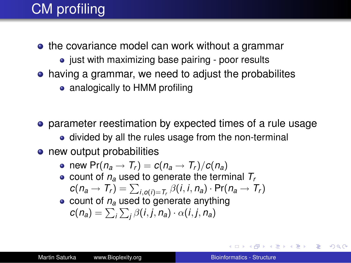# CM profiling

- the covariance model can work without a grammar
	- just with maximizing base pairing poor results
- having a grammar, we need to adjust the probabilites
	- analogically to HMM profiling
- parameter reestimation by expected times of a rule usage
	- divided by all the rules usage from the non-terminal
- new output probabilities
	- new  $Pr(n_a \rightarrow T_r) = c(n_a \rightarrow T_r)/c(n_a)$
	- $\bullet$  count of  $n_a$  used to generate the terminal  $T_r$  $c(n_a \rightarrow T_r) = \sum_{i, o(i) = T_r} \beta(i, i, n_a) \cdot Pr(n_a \rightarrow T_r)$
	- $\bullet$  count of  $n_a$  used to generate anything  $c(n_a) = \sum_i \sum_j \beta(i, j, n_a) \cdot \alpha(i, j, n_a)$

KO KARA KE KA EK GA GA KA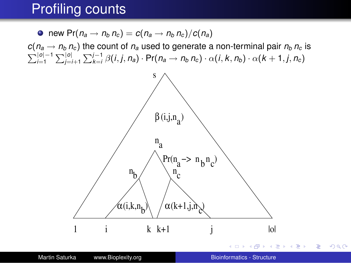### Profiling counts

 $\bullet$  new Pr( $n_a \rightarrow n_b n_c$ ) =  $c(n_a \rightarrow n_b n_c)/c(n_a)$ 

 $c(n_a \rightarrow n_b n_c)$  the count of  $n_a$  used to generate a non-terminal pair  $n_b n_c$  is  $\sum_{i=1}^{|o|-1}\sum_{j=i+1}^{|o|}\sum_{k=i}^{j-1}\beta(i,j,n_a)\cdot Pr(n_a\rightarrow n_b n_c)\cdot \alpha(i,k,n_b)\cdot \alpha(k+1,j,n_c)$ 



÷.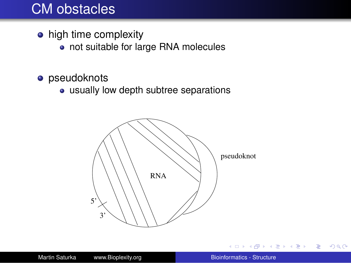### CM obstacles

- high time complexity
	- not suitable for large RNA molecules
- **•** pseudoknots
	- usually low depth subtree separations



 $\leftarrow$ 

→ 重き → 重き →

 $\Rightarrow$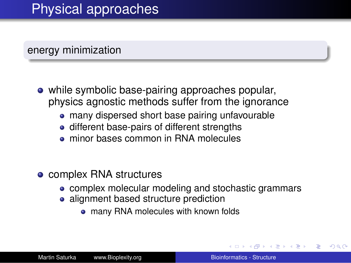## Physical approaches

#### energy minimization

- while symbolic base-pairing approaches popular, physics agnostic methods suffer from the ignorance
	- many dispersed short base pairing unfavourable
	- different base-pairs of different strengths
	- **minor bases common in RNA molecules**
- complex RNA structures
	- complex molecular modeling and stochastic grammars
	- alignment based structure prediction
		- many RNA molecules with known folds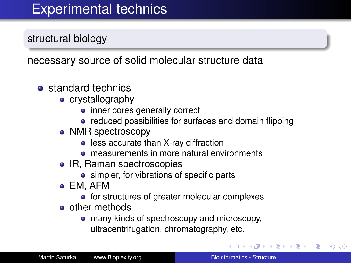## Experimental technics

structural biology

necessary source of solid molecular structure data

- **o** standard technics
	- crystallography
		- inner cores generally correct
		- reduced possibilities for surfaces and domain flipping
	- NMR spectroscopy
		- less accurate than X-ray diffraction
		- **o** measurements in more natural environments
	- IR, Raman spectroscopies
		- simpler, for vibrations of specific parts
	- EM, AFM
		- for structures of greater molecular complexes
	- **o** other methods
		- many kinds of spectroscopy and microscopy, ultracentrifugation, chromatography, etc.

**K ロ ⊁ K 伊 ⊁ K** 

 $\mathbb{R}^n \times \mathbb{R}^n \to \mathbb{R}^n$ 

B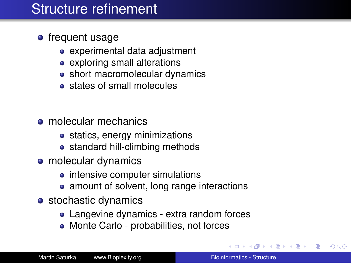## Structure refinement

### **o** frequent usage

- experimental data adjustment
- exploring small alterations
- short macromolecular dynamics
- **•** states of small molecules
- **•** molecular mechanics
	- statics, energy minimizations
	- standard hill-climbing methods
- molecular dynamics
	- intensive computer simulations
	- amount of solvent, long range interactions
- stochastic dynamics
	- Langevine dynamics extra random forces
	- Monte Carlo probabilities, not forces

 $\mathbb{R}^n \times \mathbb{R}^n \xrightarrow{\sim} \mathbb{R}^n$ 

B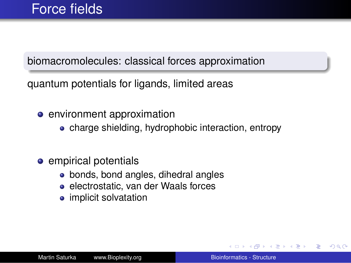### biomacromolecules: classical forces approximation

quantum potentials for ligands, limited areas

- **•** environment approximation
	- charge shielding, hydrophobic interaction, entropy

### **e** empirical potentials

- bonds, bond angles, dihedral angles
- electrostatic, van der Waals forces
- implicit solvatation

医电影 医医家庭

B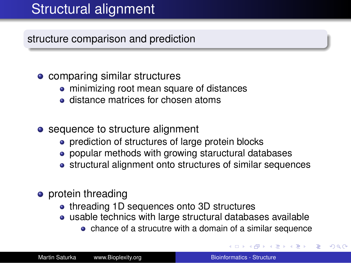## Structural alignment

structure comparison and prediction

### • comparing similar structures

- minimizing root mean square of distances
- **o** distance matrices for chosen atoms
- sequence to structure alignment
	- **•** prediction of structures of large protein blocks
	- popular methods with growing staructural databases
	- structural alignment onto structures of similar sequences
- **•** protein threading
	- threading 1D sequences onto 3D structures
	- usable technics with large structural databases available
		- chance of a strucutre with a domain of a similar sequence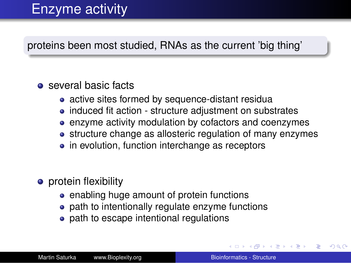# Enzyme activity

proteins been most studied, RNAs as the current 'big thing'

### **•** several basic facts

- active sites formed by sequence-distant residua
- induced fit action structure adjustment on substrates
- enzyme activity modulation by cofactors and coenzymes
- structure change as allosteric regulation of many enzymes
- in evolution, function interchange as receptors
- **•** protein flexibility
	- enabling huge amount of protein functions
	- path to intentionally regulate enzyme functions
	- path to escape intentional regulations

イロメ イ押 メイヨメ イヨメ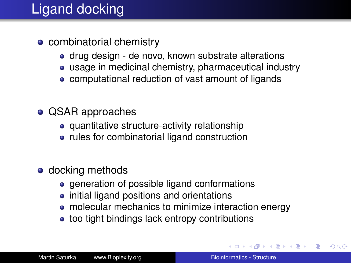# Ligand docking

- combinatorial chemistry
	- drug design de novo, known substrate alterations
	- usage in medicinal chemistry, pharmaceutical industry
	- computational reduction of vast amount of ligands
- QSAR approaches
	- quantitative structure-activity relationship
	- rules for combinatorial ligand construction
- **o** docking methods
	- generation of possible ligand conformations
	- initial ligand positions and orientations
	- molecular mechanics to minimize interaction energy
	- too tight bindings lack entropy contributions

イロト イ団ト イヨト イヨト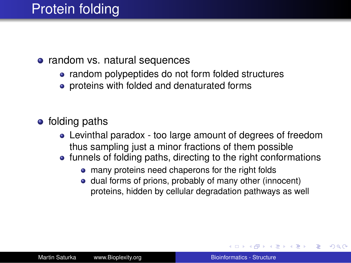## Protein folding

#### • random vs. natural sequences

- random polypeptides do not form folded structures
- proteins with folded and denaturated forms
- folding paths
	- Levinthal paradox too large amount of degrees of freedom thus sampling just a minor fractions of them possible
	- funnels of folding paths, directing to the right conformations
		- many proteins need chaperons for the right folds
		- dual forms of prions, probably of many other (innocent) proteins, hidden by cellular degradation pathways as well

イロメ イ押 メイヨメ イヨメ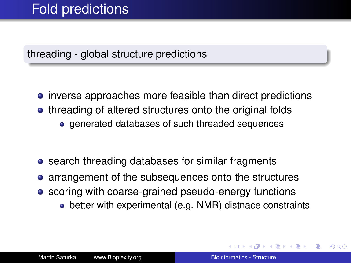## Fold predictions

threading - global structure predictions

- **•** inverse approaches more feasible than direct predictions • threading of altered structures onto the original folds
	- **e** generated databases of such threaded sequences
- **•** search threading databases for similar fragments
- arrangement of the subsequences onto the structures
- scoring with coarse-grained pseudo-energy functions
	- better with experimental (e.g. NMR) distnace constraints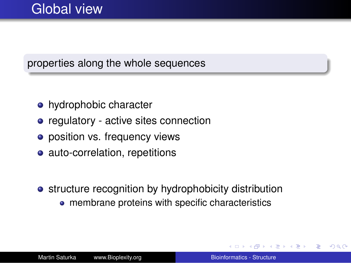### properties along the whole sequences

- hydrophobic character
- regulatory active sites connection
- position vs. frequency views
- auto-correlation, repetitions
- structure recognition by hydrophobicity distribution
	- **membrane proteins with specific characteristics**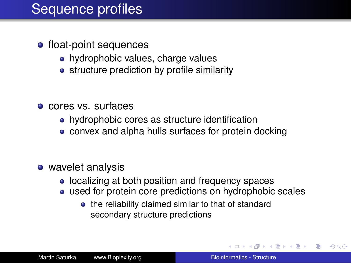### Sequence profiles

- float-point sequences
	- hydrophobic values, charge values
	- structure prediction by profile similarity
- cores vs. surfaces
	- hydrophobic cores as structure identification
	- convex and alpha hulls surfaces for protein docking
- wavelet analysis
	- localizing at both position and frequency spaces
	- used for protein core predictions on hydrophobic scales
		- the reliability claimed similar to that of standard secondary structure predictions

イロト イ団ト イヨト イヨト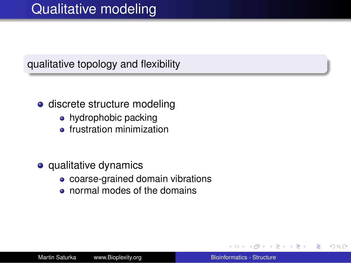qualitative topology and flexibility

- **o** discrete structure modeling
	- hydrophobic packing
	- **•** frustration minimization
- **o** qualitative dynamics
	- coarse-grained domain vibrations
	- normal modes of the domains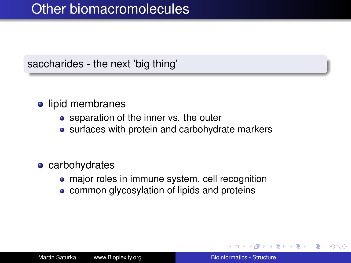## Other biomacromolecules

#### saccharides - the next 'big thing'

### **o** lipid membranes

- separation of the inner vs. the outer
- surfaces with protein and carbohydrate markers

#### • carbohydrates

- major roles in immune system, cell recognition
- common glycosylation of lipids and proteins